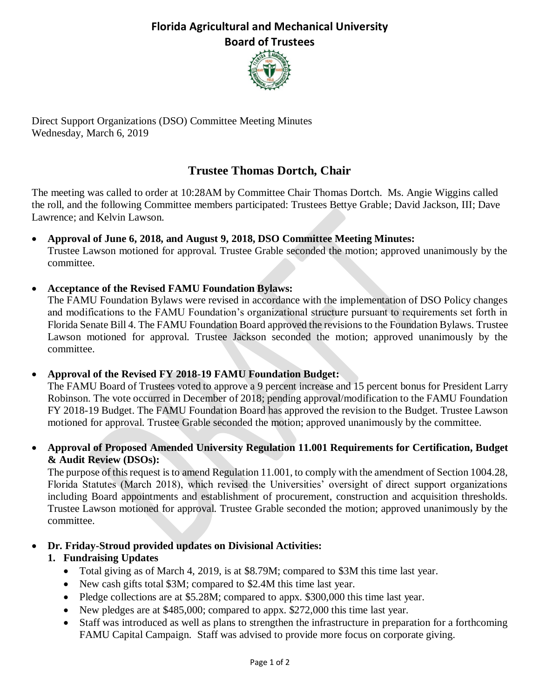## **Florida Agricultural and Mechanical University Board of Trustees**



Direct Support Organizations (DSO) Committee Meeting Minutes Wednesday, March 6, 2019

# **Trustee Thomas Dortch, Chair**

The meeting was called to order at 10:28AM by Committee Chair Thomas Dortch. Ms. Angie Wiggins called the roll, and the following Committee members participated: Trustees Bettye Grable; David Jackson, III; Dave Lawrence; and Kelvin Lawson.

- **Approval of June 6, 2018, and August 9, 2018, DSO Committee Meeting Minutes:** Trustee Lawson motioned for approval. Trustee Grable seconded the motion; approved unanimously by the committee.
- **Acceptance of the Revised FAMU Foundation Bylaws:**

The FAMU Foundation Bylaws were revised in accordance with the implementation of DSO Policy changes and modifications to the FAMU Foundation's organizational structure pursuant to requirements set forth in Florida Senate Bill 4. The FAMU Foundation Board approved the revisions to the Foundation Bylaws. Trustee Lawson motioned for approval. Trustee Jackson seconded the motion; approved unanimously by the committee.

• **Approval of the Revised FY 2018-19 FAMU Foundation Budget:**

The FAMU Board of Trustees voted to approve a 9 percent increase and 15 percent bonus for President Larry Robinson. The vote occurred in December of 2018; pending approval/modification to the FAMU Foundation FY 2018-19 Budget. The FAMU Foundation Board has approved the revision to the Budget. Trustee Lawson motioned for approval. Trustee Grable seconded the motion; approved unanimously by the committee.

• **Approval of Proposed Amended University Regulation 11.001 Requirements for Certification, Budget & Audit Review (DSOs):**

The purpose of this request is to amend Regulation 11.001, to comply with the amendment of Section 1004.28, Florida Statutes (March 2018), which revised the Universities' oversight of direct support organizations including Board appointments and establishment of procurement, construction and acquisition thresholds. Trustee Lawson motioned for approval. Trustee Grable seconded the motion; approved unanimously by the committee.

• **Dr. Friday-Stroud provided updates on Divisional Activities:** 

### **1. Fundraising Updates**

- Total giving as of March 4, 2019, is at \$8.79M; compared to \$3M this time last year.
- New cash gifts total \$3M; compared to \$2.4M this time last year.
- Pledge collections are at \$5.28M; compared to appx. \$300,000 this time last year.
- New pledges are at \$485,000; compared to appx. \$272,000 this time last year.
- Staff was introduced as well as plans to strengthen the infrastructure in preparation for a forthcoming FAMU Capital Campaign. Staff was advised to provide more focus on corporate giving.